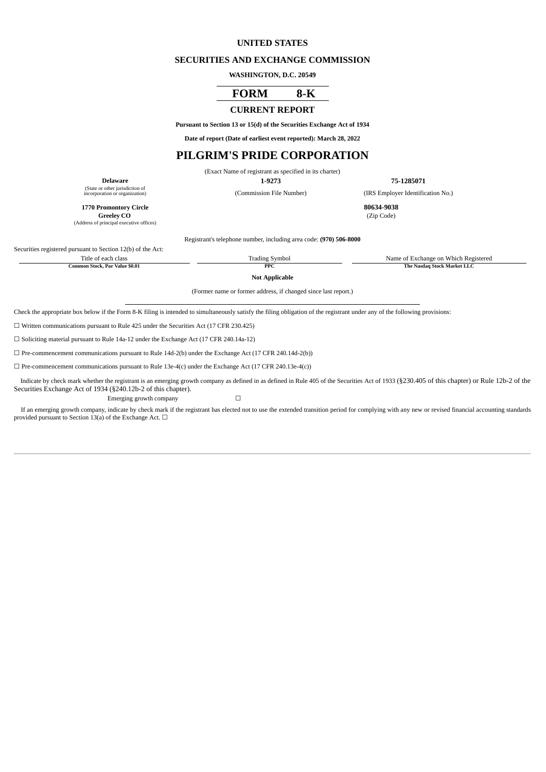## **UNITED STATES**

#### **SECURITIES AND EXCHANGE COMMISSION**

**WASHINGTON, D.C. 20549**

# **FORM 8-K**

#### **CURRENT REPORT**

**Pursuant to Section 13 or 15(d) of the Securities Exchange Act of 1934**

**Date of report (Date of earliest event reported): March 28, 2022**

# **PILGRIM'S PRIDE CORPORATION**

(Exact Name of registrant as specified in its charter)

(Commission File Number) (IRS Employer Identification No.)

**Delaware 1-9273 75-1285071** (State or other jurisdiction of

**1770 Promontory Circle 80634-9038 Greeley** CO

(Address of principal executive offices)

Registrant's telephone number, including area code: **(970) 506-8000**

Securities registered pursuant to Section 12(b) of the Act:

Title of each class<br>
Trading Symbol<br>
The Nasdag Stock Par Value 50.01<br>
The Nasdag Stock Market LLC **Common PPC STOCK** 

**Not Applicable**

(Former name or former address, if changed since last report.)

Check the appropriate box below if the Form 8-K filing is intended to simultaneously satisfy the filing obligation of the registrant under any of the following provisions:

☐ Written communications pursuant to Rule 425 under the Securities Act (17 CFR 230.425)

☐ Soliciting material pursuant to Rule 14a-12 under the Exchange Act (17 CFR 240.14a-12)

 $\Box$  Pre-commencement communications pursuant to Rule 14d-2(b) under the Exchange Act (17 CFR 240.14d-2(b))

 $\Box$  Pre-commencement communications pursuant to Rule 13e-4(c) under the Exchange Act (17 CFR 240.13e-4(c))

Indicate by check mark whether the registrant is an emerging growth company as defined in as defined in Rule 405 of the Securities Act of 1933 (§230.405 of this chapter) or Rule 12b-2 of the Securities Exchange Act of 1934 (§240.12b-2 of this chapter). Emerging growth company  $\Box$ 

If an emerging growth company, indicate by check mark if the registrant has elected not to use the extended transition period for complying with any new or revised financial accounting standards provided pursuant to Section 13(a) of the Exchange Act.  $\Box$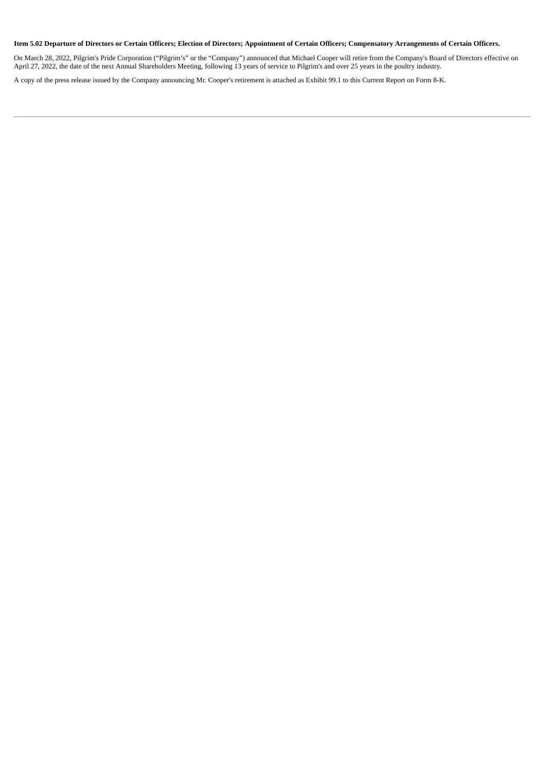## Item 5.02 Departure of Directors or Certain Officers; Election of Directors; Appointment of Certain Officers; Compensatory Arrangements of Certain Officers.

On March 28, 2022, Pilgrim's Pride Corporation ("Pilgrim's" or the "Company") announced that Michael Cooper will retire from the Company's Board of Directors effective on April 27, 2022, the date of the next Annual Shareholders Meeting, following 13 years of service to Pilgrim's and over 25 years in the poultry industry.

A copy of the press release issued by the Company announcing Mr. Cooper's retirement is attached as Exhibit 99.1 to this Current Report on Form 8-K.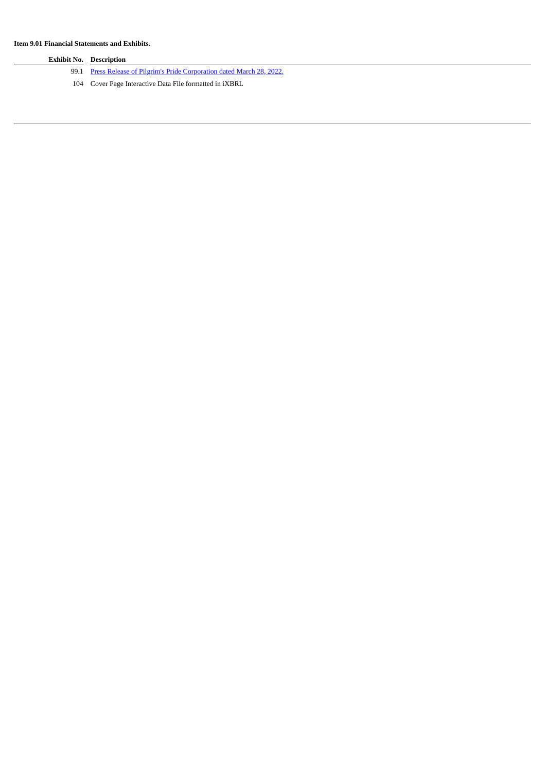$\overline{\phantom{a}}$ 

| <b>Exhibit No. Description</b>                                          |
|-------------------------------------------------------------------------|
| 99.1 Press Release of Pilgrim's Pride Corporation dated March 28, 2022. |
| 104 Cover Page Interactive Data File formatted in iXBRL                 |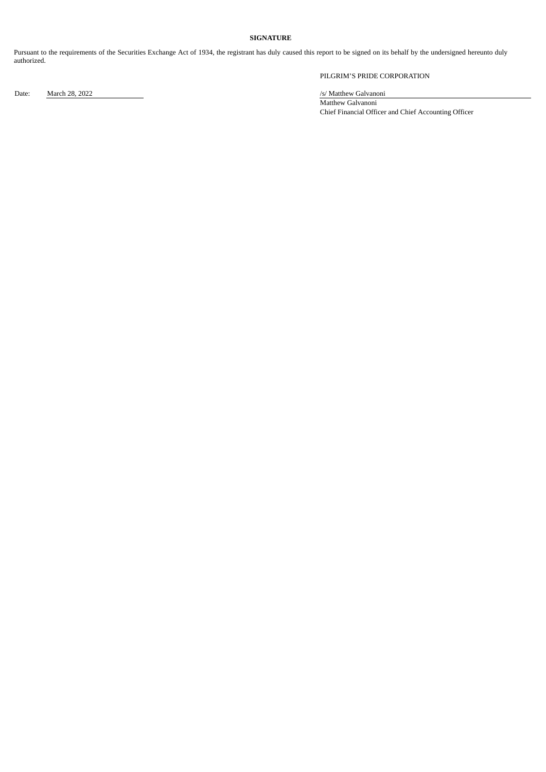## **SIGNATURE**

Pursuant to the requirements of the Securities Exchange Act of 1934, the registrant has duly caused this report to be signed on its behalf by the undersigned hereunto duly authorized.

PILGRIM'S PRIDE CORPORATION

Date: March 28, 2022 /s/ Matthew Galvanoni

Matthew Galvanoni Chief Financial Officer and Chief Accounting Officer